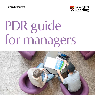**Human Resources**



# PDR guide for managers

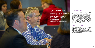An individual review should be conducted in line with the following confidentiality principles. The review discussion itself is a confidential discussion. The review form captures the key elements of that conversation. The reviewee and reviewer together agree upon what is to be recorded on the form. The completed form can be seen and used by those with management responsibilities for that individual (including the reviewer, Head of Department/School, Dean, Heads of Group/Support Service equivalent). The involve ment of parties beyond this group should be with the agreement of the individual.

This document guides you through the process, setting out key roles, responsibilities and milestones.

## Support from HR

Your HR Partner/Adviser will be a key player in supporting you through this process. You should expect them to be involved in selecting and briefing reviewers, advising on matching staff to reviewers, monitoring completion rates, advising on complex and difficult circumstances along with future planning considerations.

**As a Head of Service, Dean, Head of School, Department, Function or Section within the University you will be responsible for the overall leadership and management of the Performance and Development Review (PDR), including 'PDR Job Chat' for appropriate staff.** 

The Dean or Head of Service will guide the overall process, setting priorities and expectations for your area. You will also work closely with your School Administrator, Departmental PA or equivalent to coordinate the various activities. Your HR Partner/ Adviser will be a key point of contact throughout this process for advice and guidance.

## **Confidentiality**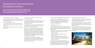## Preparation for the Performance Development Review

**There are six main activities you will need to complete in the months running up to the PDR and Job Chat period. Normally this should happen during the Autumn/Spring Terms.**

#### **1 Identifying a PDR co-ordinator**

A co-ordinator should be appointed for the PDR and Job Chat process, to implement this across the school/unit. The role of the co-ordinator will be to:

- **•** Co-ordinate the setting of reviews
- **•** Circulate the paperwork to all staff and handle enquiries
- **•** Monitor the returns and chase up, using the reports sent by HR systems

Report on annual uptake figures for the school liaising with the HR Partner

#### **2 Select the 'reviewers' for your area of responsibility**

The expectation is that reviewers, in the main, will be those with already defined responsibilities for staff. If you are a line manager, conducting a review with your staff is a core requirement of your role.

It is suggested that each reviewer should normally review no more than 8–10 staff to ensure that enough time can be dedicated to such an important activity.

Where it is necessary to identify additional colleagues to be reviewers, it is important that these colleagues have both the skill and interest to carry out PDRs or Job Chats effectively. Whilst they will receive specific training for this activity, a natural inclination to support colleagues in achieving their potential both in their role and careers more broadly is a good starting point. It is important to recognise that in order to develop and improve, challenging conversations have to take place.

The expectation is that this will be an on-going commitment to ensure a level of continuity for colleagues. Careful consideration should be given to how you select reviewers for your area. To help you, a 'Guide to being a reviewer' has been produced.

#### **3 Training for PDR and Job Chat reviewers**

All reviewers must have completed the necessary training ahead of the review period starting. This will be a mandatory requirement; therefore planning well ahead of time is advisable. Training will be available through the CQSD programme.

#### **4 Briefing reviewers**

To ensure consistency, it is important to brief your reviewers as a group, setting out your expectations for the PDR and Job Chat discussions. The briefing could include details on the following areas:

- **•** Priorities for the work area for the next 12 months, allowing individuals to consider objectives in line with this
- **•** University priorities
- **•** Compliance requirements (Health and Safety, Data Protection etc)
- **•** Staffing related priorities (succession planning; health and well being; strategic development needs)
- **•** Process expectations (level of preparation; feedback; contact with reviewee)

Depending on your role and the normal practice in your area, varying levels of preparation and consultation will be required in order for you to provide this briefing. It is suggested that early discussion with your Dean or Head of Service and HR Partner on this is important.

#### **5 Matching staff to reviewers**

Once you have identified your reviewers and the necessary arrangements are in place for training, you can proceed with matching staff with reviewers.

Consideration should be given to various factors including the potential benefits and value of each match as well as circumstances which may make a review relationship more difficult or beneficial.

The expectation is that staff will only be able to request an alternative reviewer where exceptional circumstances determine that this is both necessary and appropriate. This request should be made to the Head of School/Unit in the first instance.

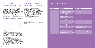### Performance and Development Review Cycle

#### **Staff briefing and communication**

All staff within the work area should be informed of the timetable for the review activity, along with any expectations in terms of preparation for review discussions. Normally this communication will happen by email, however local practices will prevail.

A quick 'Guide to preparing for your PDR discussion' is available for colleagues to consult. Likewise, a similar document for those who will have a Job Chat is also available.

#### **Individual notification of PDR or Job Chat Reviewer**

Each member of staff should be informed of who their reviewer will be. It should be made clear that requests for an alternative will only be considered in exceptional circumstances. It is expected that individuals will have a minimum of two weeks notice of the review meeting in order to prepare.

#### **Monitoring progress**

It is important to monitor progress of PDR and Job Chat completion throughout the review period to ensure that the activity stays on track.

Each area can determine locally how best to manage and organise this. The University requires all eligible members of staff to take part in this activity on an annual basis. A definition of eligible staff can be found in the Scheme Guide.

#### **Second reviewer**

- University/School/Directorate/Group priorities
- Compliance
- All reviewers and HR Partner included
- Email PDR instructions to staff
- Timescales, guidance notes
- Inform staff of their reviewer
- Period for review preparation by all parties
- PDR meetings conducted
- Paperwork completed and submitted

Each area will decide whether the use of the 'second reviewer' is appropriate or not. Where this is in use the Head of Unit who is responsible for leading the Review activity will read and comment on all the reviews for their area. The purpose of this is for information and to identify themes and matters of importance which may require further consideration.

## Review of the Performance Development Review exercise

#### **Discussion with each reviewer**

Following the completion of the PDR or Job Chat discussions, the Head of School, Function or Section should gather feedback on the review exercise. Particular attention should be given to the following areas:

- **•** Any cases requiring prompt specific action (concerns around performance, working relationships, health, retention etc)
- **•** Future cases for promotion, personal titles, regrading or reward
- **•** Significant development requirements
- **•** Learning and development needs
- **•** Succession planning issues

Reviewers could convey this verbally or in a brief email or report.

Your Dean, Head of Service will use this information to feed into normal University planning and management activities to ensure that the necessary action is taken.

## PDR Planning flow chart

- Selecting reviewers
- Training reviewers
- Matching staff to reviewers



#### **Action required**